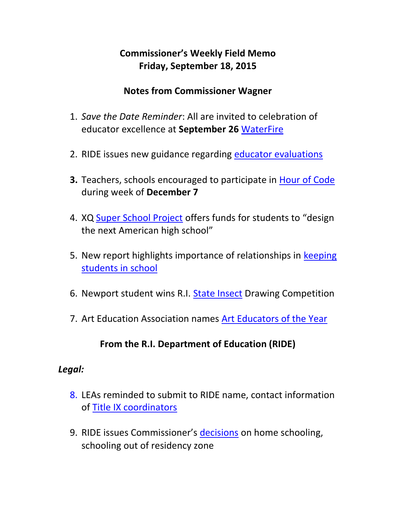## **Commissioner's Weekly Field Memo Friday, September 18, 2015**

#### **Notes from Commissioner Wagner**

- 1. *Save the Date Reminder*: All are invited to celebration of educator excellence at **September 26** [WaterFire](#page-3-0)
- 2. RIDE issues new guidance regarding [educator evaluations](#page-5-0)
- **3.** Teachers, schools encouraged to participate in [Hour of Code](#page-8-0) during week of **December 7**
- 4. XQ [Super School Project](#page-8-1) offers funds for students to "design the next American high school"
- 5. New report highlights importance of relationships in keeping [students in school](#page-9-0)
- 6. Newport student wins R.I. [State Insect](#page-10-0) Drawing Competition
- 7. Art Education Association names [Art Educators of the Year](#page-11-0)

## **From the R.I. Department of Education (RIDE)**

#### *Legal:*

- 8. LEAs reminded to submit to RIDE name, contact information of [Title IX coordinators](#page-11-1)
- 9. RIDE issues Commissioner's decisions on home schooling, schooling out of residency zone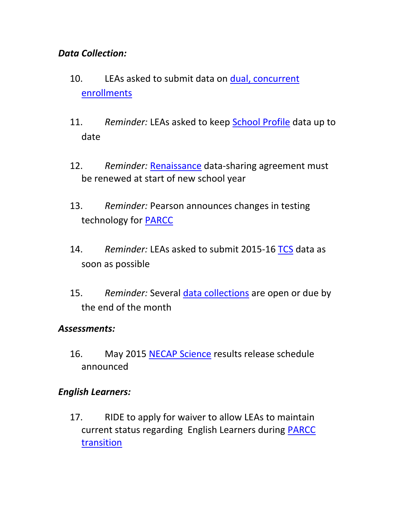#### *Data Collection:*

- 10. LEAs asked to submit data on [dual, concurrent](#page-12-0)  [enrollments](#page-12-0)
- 11. *Reminder:* LEAs asked to keep [School Profile](#page-13-0) data up to date
- 12. *Reminder:* [Renaissance](#page-13-1) data-sharing agreement must be renewed at start of new school year
- 13. *Reminder:* Pearson announces changes in testing technology for [PARCC](#page-14-0)
- 14. *Reminder:* LEAs asked to submit 2015-16 [TCS](#page-14-1) data as soon as possible
- 15. *Reminder:* Several [data collections](#page-15-0) are open or due by the end of the month

#### *Assessments:*

16. May 2015 [NECAP Science](#page-15-1) results release schedule announced

## *English Learners:*

17. RIDE to apply for waiver to allow LEAs to maintain current status regarding English Learners during [PARCC](#page-17-0)  [transition](#page-17-0)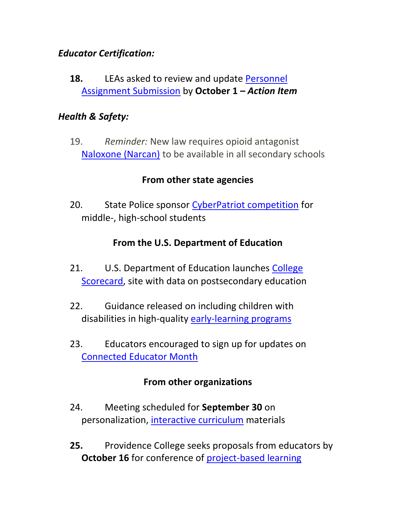#### *Educator Certification:*

**18.** LEAs asked to review and update [Personnel](#page-18-0)  [Assignment Submission](#page-18-0) by **October 1 –** *Action Item*

#### *Health & Safety:*

19. *Reminder:* New law requires opioid antagonist [Naloxone \(Narcan\)](#page-19-0) to be available in all secondary schools

#### **From other state agencies**

20. State Police sponsor [CyberPatriot competition](#page-20-0) for middle-, high-school students

## **From the U.S. Department of Education**

- 21. U.S. Department of Education launches College [Scorecard,](#page-21-0) site with data on postsecondary education
- 22. Guidance released on including children with disabilities in high-quality [early-learning programs](#page-22-0)
- 23. Educators encouraged to sign up for updates on [Connected Educator Month](#page-22-1)

## **From other organizations**

- 24. Meeting scheduled for **September 30** on personalization, [interactive curriculum](#page-22-2) materials
- **25.** Providence College seeks proposals from educators by **October 16** for conference of [project-based learning](#page-23-0)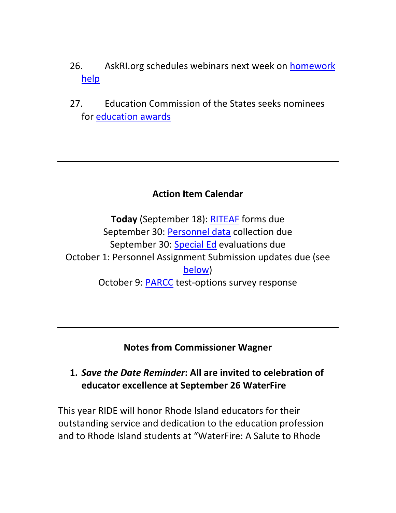- 26. AskRI.org schedules webinars next week on [homework](#page-24-0)  [help](#page-24-0)
- 27. Education Commission of the States seeks nominees for [education awards](#page-25-0)

#### **Action Item Calendar**

**Today** (September 18): [RITEAF](http://ride.ri.gov/Portals/0/Uploads/Documents/081415-FM.pdf) forms due September 30: [Personnel data](http://ride.ri.gov/Portals/0/Uploads/Documents/082815-FM.pdf) collection due September 30: [Special Ed](http://ride.ri.gov/Portals/0/Uploads/Documents/082815-FM.pdf) evaluations due October 1: Personnel Assignment Submission updates due (see [below\)](#page-18-0) October 9: [PARCC](http://ride.ri.gov/Portals/0/Uploads/Documents/091115-FM.pdf) test-options survey response

**Notes from Commissioner Wagner**

## <span id="page-3-0"></span>**1.** *Save the Date Reminder***: All are invited to celebration of educator excellence at September 26 WaterFire**

This year RIDE will honor Rhode Island educators for their outstanding service and dedication to the education profession and to Rhode Island students at "WaterFire: A Salute to Rhode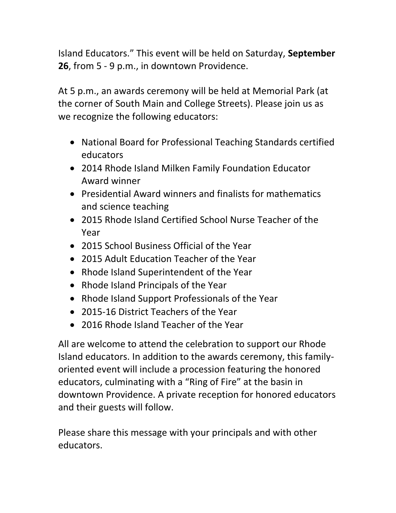Island Educators." This event will be held on Saturday, **September 26**, from 5 - 9 p.m., in downtown Providence.

At 5 p.m., an awards ceremony will be held at Memorial Park (at the corner of South Main and College Streets). Please join us as we recognize the following educators:

- National Board for Professional Teaching Standards certified educators
- 2014 Rhode Island Milken Family Foundation Educator Award winner
- Presidential Award winners and finalists for mathematics and science teaching
- 2015 Rhode Island Certified School Nurse Teacher of the Year
- 2015 School Business Official of the Year
- 2015 Adult Education Teacher of the Year
- Rhode Island Superintendent of the Year
- Rhode Island Principals of the Year
- Rhode Island Support Professionals of the Year
- 2015-16 District Teachers of the Year
- 2016 Rhode Island Teacher of the Year

All are welcome to attend the celebration to support our Rhode Island educators. In addition to the awards ceremony, this familyoriented event will include a procession featuring the honored educators, culminating with a "Ring of Fire" at the basin in downtown Providence. A private reception for honored educators and their guests will follow.

Please share this message with your principals and with other educators.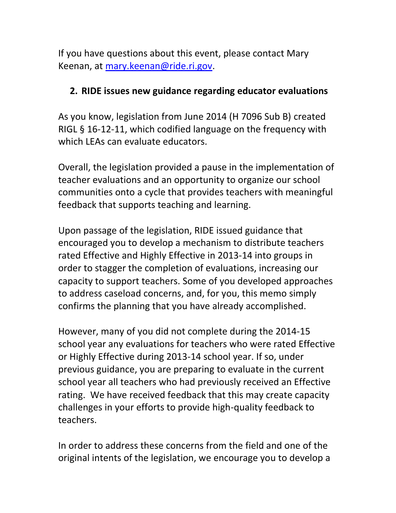If you have questions about this event, please contact Mary Keenan, at [mary.keenan@ride.ri.gov.](mailto:mary.keenan@ride.ri.gov)

#### <span id="page-5-0"></span>**2. RIDE issues new guidance regarding educator evaluations**

As you know, legislation from June 2014 (H 7096 Sub B) created RIGL § 16-12-11, which codified language on the frequency with which LEAs can evaluate educators.

Overall, the legislation provided a pause in the implementation of teacher evaluations and an opportunity to organize our school communities onto a cycle that provides teachers with meaningful feedback that supports teaching and learning.

Upon passage of the legislation, RIDE issued guidance that encouraged you to develop a mechanism to distribute teachers rated Effective and Highly Effective in 2013-14 into groups in order to stagger the completion of evaluations, increasing our capacity to support teachers. Some of you developed approaches to address caseload concerns, and, for you, this memo simply confirms the planning that you have already accomplished.

However, many of you did not complete during the 2014-15 school year any evaluations for teachers who were rated Effective or Highly Effective during 2013-14 school year. If so, under previous guidance, you are preparing to evaluate in the current school year all teachers who had previously received an Effective rating. We have received feedback that this may create capacity challenges in your efforts to provide high-quality feedback to teachers.

In order to address these concerns from the field and one of the original intents of the legislation, we encourage you to develop a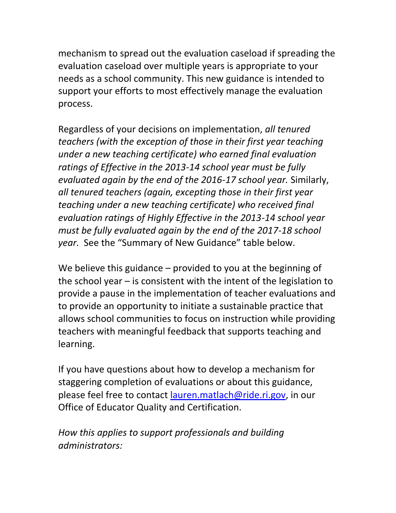mechanism to spread out the evaluation caseload if spreading the evaluation caseload over multiple years is appropriate to your needs as a school community. This new guidance is intended to support your efforts to most effectively manage the evaluation process.

Regardless of your decisions on implementation, *all tenured teachers (with the exception of those in their first year teaching under a new teaching certificate) who earned final evaluation ratings of Effective in the 2013-14 school year must be fully evaluated again by the end of the 2016-17 school year.* Similarly, *all tenured teachers (again, excepting those in their first year teaching under a new teaching certificate) who received final evaluation ratings of Highly Effective in the 2013-14 school year must be fully evaluated again by the end of the 2017-18 school year.* See the "Summary of New Guidance" table below.

We believe this guidance – provided to you at the beginning of the school year – is consistent with the intent of the legislation to provide a pause in the implementation of teacher evaluations and to provide an opportunity to initiate a sustainable practice that allows school communities to focus on instruction while providing teachers with meaningful feedback that supports teaching and learning.

If you have questions about how to develop a mechanism for staggering completion of evaluations or about this guidance, please feel free to contact [lauren.matlach@ride.ri.gov,](mailto:lauren.matlach@ride.ri.gov) in our Office of Educator Quality and Certification.

*How this applies to support professionals and building administrators:*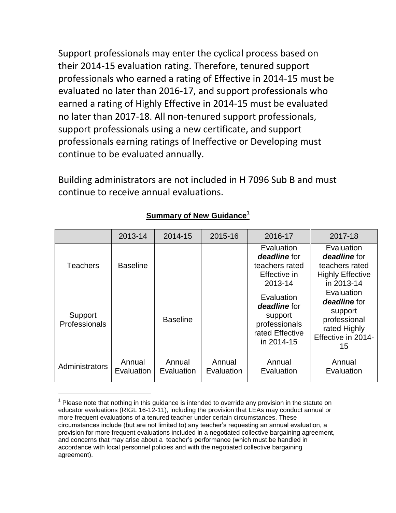Support professionals may enter the cyclical process based on their 2014-15 evaluation rating. Therefore, tenured support professionals who earned a rating of Effective in 2014-15 must be evaluated no later than 2016-17, and support professionals who earned a rating of Highly Effective in 2014-15 must be evaluated no later than 2017-18. All non-tenured support professionals, support professionals using a new certificate, and support professionals earning ratings of Ineffective or Developing must continue to be evaluated annually.

Building administrators are not included in H 7096 Sub B and must continue to receive annual evaluations.

|                          | 2013-14              | 2014-15              | 2015-16              | 2016-17                                                                                 | 2017-18                                                                                           |
|--------------------------|----------------------|----------------------|----------------------|-----------------------------------------------------------------------------------------|---------------------------------------------------------------------------------------------------|
| <b>Teachers</b>          | <b>Baseline</b>      |                      |                      | Evaluation<br>deadline for<br>teachers rated<br>Effective in<br>2013-14                 | Evaluation<br>deadline for<br>teachers rated<br><b>Highly Effective</b><br>in 2013-14             |
| Support<br>Professionals |                      | <b>Baseline</b>      |                      | Evaluation<br>deadline for<br>support<br>professionals<br>rated Effective<br>in 2014-15 | Evaluation<br>deadline for<br>support<br>professional<br>rated Highly<br>Effective in 2014-<br>15 |
| Administrators           | Annual<br>Evaluation | Annual<br>Evaluation | Annual<br>Evaluation | Annual<br>Evaluation                                                                    | Annual<br>Evaluation                                                                              |

#### **Summary of New Guidance<sup>1</sup>**

l

 $1$  Please note that nothing in this guidance is intended to override any provision in the statute on educator evaluations (RIGL 16-12-11), including the provision that LEAs may conduct annual or more frequent evaluations of a tenured teacher under certain circumstances. These circumstances include (but are not limited to) any teacher's requesting an annual evaluation, a provision for more frequent evaluations included in a negotiated collective bargaining agreement, and concerns that may arise about a teacher's performance (which must be handled in accordance with local personnel policies and with the negotiated collective bargaining agreement).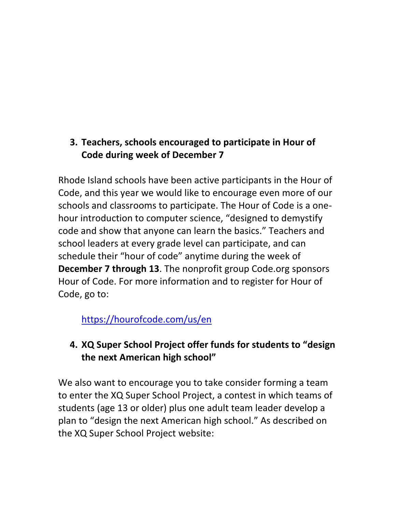## <span id="page-8-0"></span>**3. Teachers, schools encouraged to participate in Hour of Code during week of December 7**

Rhode Island schools have been active participants in the Hour of Code, and this year we would like to encourage even more of our schools and classrooms to participate. The Hour of Code is a onehour introduction to computer science, "designed to demystify code and show that anyone can learn the basics." Teachers and school leaders at every grade level can participate, and can schedule their "hour of code" anytime during the week of **December 7 through 13**. The nonprofit group Code.org sponsors Hour of Code. For more information and to register for Hour of Code, go to:

<https://hourofcode.com/us/en>

## <span id="page-8-1"></span>**4. XQ Super School Project offer funds for students to "design the next American high school"**

We also want to encourage you to take consider forming a team to enter the XQ Super School Project, a contest in which teams of students (age 13 or older) plus one adult team leader develop a plan to "design the next American high school." As described on the XQ Super School Project website: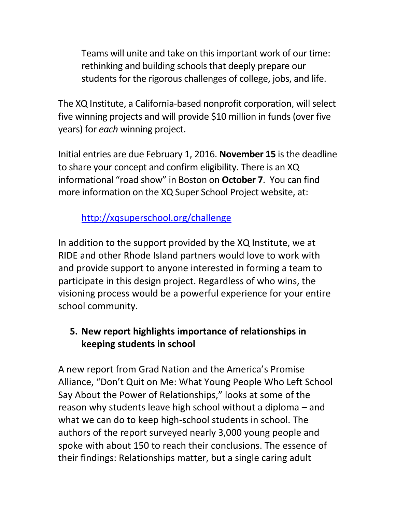Teams will unite and take on this important work of our time: rethinking and building schools that deeply prepare our students for the rigorous challenges of college, jobs, and life.

The XQ Institute, a California-based nonprofit corporation, will select five winning projects and will provide \$10 million in funds (over five years) for *each* winning project.

Initial entries are due February 1, 2016. **November 15** is the deadline to share your concept and confirm eligibility. There is an XQ informational "road show" in Boston on **October 7**. You can find more information on the XQ Super School Project website, at:

# <http://xqsuperschool.org/challenge>

In addition to the support provided by the XQ Institute, we at RIDE and other Rhode Island partners would love to work with and provide support to anyone interested in forming a team to participate in this design project. Regardless of who wins, the visioning process would be a powerful experience for your entire school community.

## <span id="page-9-0"></span>**5. New report highlights importance of relationships in keeping students in school**

A new report from Grad Nation and the America's Promise Alliance, "Don't Quit on Me: What Young People Who Left School Say About the Power of Relationships," looks at some of the reason why students leave high school without a diploma – and what we can do to keep high-school students in school. The authors of the report surveyed nearly 3,000 young people and spoke with about 150 to reach their conclusions. The essence of their findings: Relationships matter, but a single caring adult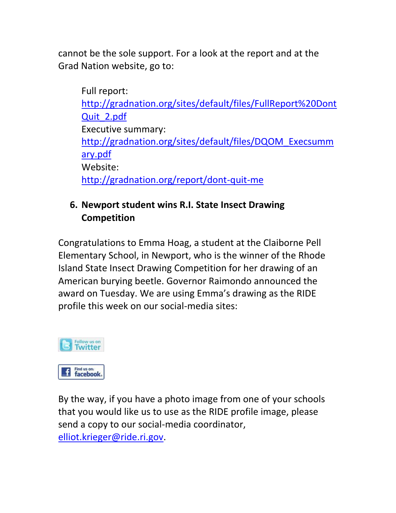cannot be the sole support. For a look at the report and at the Grad Nation website, go to:

Full report: [http://gradnation.org/sites/default/files/FullReport%20Dont](http://gradnation.org/sites/default/files/FullReport%20DontQuit_2.pdf) [Quit\\_2.pdf](http://gradnation.org/sites/default/files/FullReport%20DontQuit_2.pdf) Executive summary: [http://gradnation.org/sites/default/files/DQOM\\_Execsumm](http://gradnation.org/sites/default/files/DQOM_Execsummary.pdf) [ary.pdf](http://gradnation.org/sites/default/files/DQOM_Execsummary.pdf) Website: <http://gradnation.org/report/dont-quit-me>

## <span id="page-10-0"></span>**6. Newport student wins R.I. State Insect Drawing Competition**

Congratulations to Emma Hoag, a student at the Claiborne Pell Elementary School, in Newport, who is the winner of the Rhode Island State Insect Drawing Competition for her drawing of an American burying beetle. Governor Raimondo announced the award on Tuesday. We are using Emma's drawing as the RIDE profile this week on our social-media sites:



By the way, if you have a photo image from one of your schools that you would like us to use as the RIDE profile image, please send a copy to our social-media coordinator, [elliot.krieger@ride.ri.gov.](mailto:elliot.krieger@ride.ri.gov)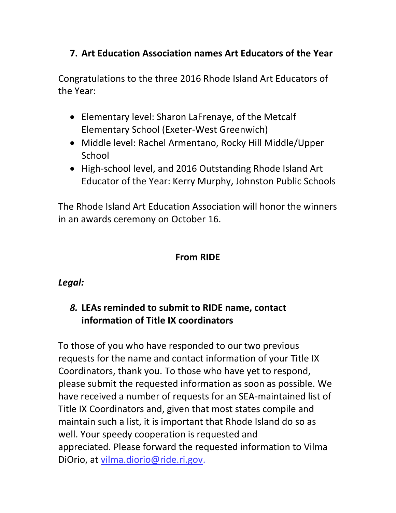## <span id="page-11-0"></span>**7. Art Education Association names Art Educators of the Year**

Congratulations to the three 2016 Rhode Island Art Educators of the Year:

- Elementary level: Sharon LaFrenaye, of the Metcalf Elementary School (Exeter-West Greenwich)
- Middle level: Rachel Armentano, Rocky Hill Middle/Upper School
- High-school level, and 2016 Outstanding Rhode Island Art Educator of the Year: Kerry Murphy, Johnston Public Schools

The Rhode Island Art Education Association will honor the winners in an awards ceremony on October 16.

#### **From RIDE**

#### *Legal:*

## <span id="page-11-1"></span>*8.* **LEAs reminded to submit to RIDE name, contact information of Title IX coordinators**

To those of you who have responded to our two previous requests for the name and contact information of your Title IX Coordinators, thank you. To those who have yet to respond, please submit the requested information as soon as possible. We have received a number of requests for an SEA-maintained list of Title IX Coordinators and, given that most states compile and maintain such a list, it is important that Rhode Island do so as well. Your speedy cooperation is requested and appreciated. Please forward the requested information to Vilma DiOrio, at [vilma.diorio@ride.ri.gov.](mailto:vilma.diorio@ride.ri.gov)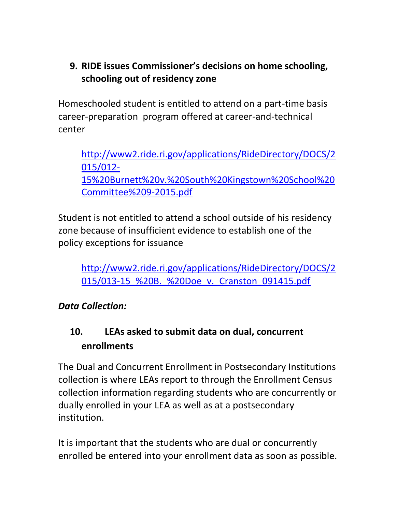## **9. RIDE issues Commissioner's decisions on home schooling, schooling out of residency zone**

Homeschooled student is entitled to attend on a part-time basis career-preparation program offered at career-and-technical center

[http://www2.ride.ri.gov/applications/RideDirectory/DOCS/2](http://www2.ride.ri.gov/applications/RideDirectory/DOCS/2015/012-15%20Burnett%20v.%20South%20Kingstown%20School%20Committee%209-2015.pdf) [015/012-](http://www2.ride.ri.gov/applications/RideDirectory/DOCS/2015/012-15%20Burnett%20v.%20South%20Kingstown%20School%20Committee%209-2015.pdf) [15%20Burnett%20v.%20South%20Kingstown%20School%20](http://www2.ride.ri.gov/applications/RideDirectory/DOCS/2015/012-15%20Burnett%20v.%20South%20Kingstown%20School%20Committee%209-2015.pdf) [Committee%209-2015.pdf](http://www2.ride.ri.gov/applications/RideDirectory/DOCS/2015/012-15%20Burnett%20v.%20South%20Kingstown%20School%20Committee%209-2015.pdf)

Student is not entitled to attend a school outside of his residency zone because of insufficient evidence to establish one of the policy exceptions for issuance

[http://www2.ride.ri.gov/applications/RideDirectory/DOCS/2](http://www2.ride.ri.gov/applications/RideDirectory/DOCS/2015/013-15_%20B._%20Doe_v._Cranston_091415.pdf) 015/013-15 %20B. %20Doe v. Cranston 091415.pdf

## *Data Collection:*

# <span id="page-12-0"></span>**10. LEAs asked to submit data on dual, concurrent enrollments**

The Dual and Concurrent Enrollment in Postsecondary Institutions collection is where LEAs report to through the Enrollment Census collection information regarding students who are concurrently or dually enrolled in your LEA as well as at a postsecondary institution.

It is important that the students who are dual or concurrently enrolled be entered into your enrollment data as soon as possible.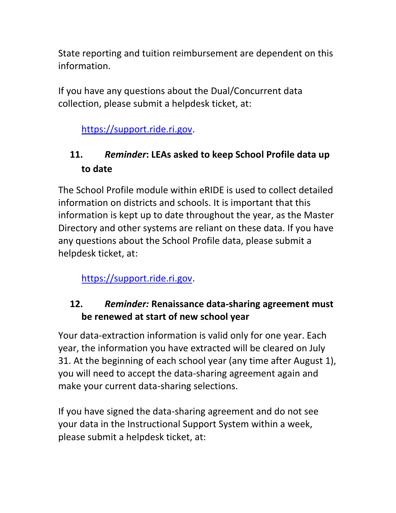State reporting and tuition reimbursement are dependent on this information.

If you have any questions about the Dual/Concurrent data collection, please submit a helpdesk ticket, at:

[https://support.ride.ri.gov.](https://support.ride.ri.gov/)

# <span id="page-13-0"></span>**11.** *Reminder***: LEAs asked to keep School Profile data up to date**

The School Profile module within eRIDE is used to collect detailed information on districts and schools. It is important that this information is kept up to date throughout the year, as the Master Directory and other systems are reliant on these data. If you have any questions about the School Profile data, please submit a helpdesk ticket, at:

[https://support.ride.ri.gov.](https://support.ride.ri.gov/)

## <span id="page-13-1"></span>**12.** *Reminder:* **Renaissance data-sharing agreement must be renewed at start of new school year**

Your data-extraction information is valid only for one year. Each year, the information you have extracted will be cleared on July 31. At the beginning of each school year (any time after August 1), you will need to accept the data-sharing agreement again and make your current data-sharing selections.

If you have signed the data-sharing agreement and do not see your data in the Instructional Support System within a week, please submit a helpdesk ticket, at: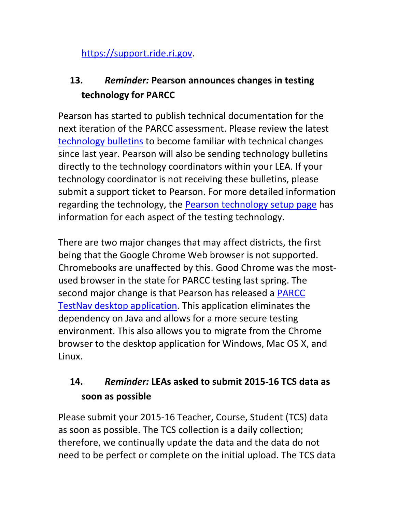[https://support.ride.ri.gov.](https://support.ride.ri.gov/)

# <span id="page-14-0"></span>**13.** *Reminder:* **Pearson announces changes in testing technology for PARCC**

Pearson has started to publish technical documentation for the next iteration of the PARCC assessment. Please review the latest [technology bulletins](http://parcc.pearson.com/bulletins/2015/06/23/parcc-administrative-bulletin.html) to become familiar with technical changes since last year. Pearson will also be sending technology bulletins directly to the technology coordinators within your LEA. If your technology coordinator is not receiving these bulletins, please submit a support ticket to Pearson. For more detailed information regarding the technology, the [Pearson technology setup page](http://parcc.pearson.com/technology-setup/) has information for each aspect of the testing technology.

There are two major changes that may affect districts, the first being that the Google Chrome Web browser is not supported. Chromebooks are unaffected by this. Good Chrome was the mostused browser in the state for PARCC testing last spring. The second major change is that Pearson has released a [PARCC](http://download.testnav.com/)  [TestNav desktop application.](http://download.testnav.com/) This application eliminates the dependency on Java and allows for a more secure testing environment. This also allows you to migrate from the Chrome browser to the desktop application for Windows, Mac OS X, and Linux.

# <span id="page-14-1"></span>**14.** *Reminder:* **LEAs asked to submit 2015-16 TCS data as soon as possible**

Please submit your 2015-16 Teacher, Course, Student (TCS) data as soon as possible. The TCS collection is a daily collection; therefore, we continually update the data and the data do not need to be perfect or complete on the initial upload. The TCS data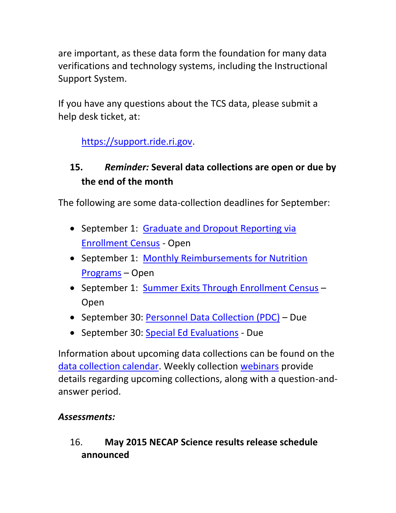are important, as these data form the foundation for many data verifications and technology systems, including the Instructional Support System.

If you have any questions about the TCS data, please submit a help desk ticket, at:

[https://support.ride.ri.gov.](https://support.ride.ri.gov/)

# <span id="page-15-0"></span>**15.** *Reminder:* **Several data collections are open or due by the end of the month**

The following are some data-collection deadlines for September:

- September 1: Graduate and Dropout Reporting via [Enrollment Census](https://www.eride.ri.gov/eRide40/DataDictionary/ViewDetails.aspx?ID=296) - Open
- September 1: Monthly Reimbursements for Nutrition [Programs](https://www.eride.ri.gov/eRide40/DataDictionary/ViewDetails.aspx?ID=300) – Open
- September 1: [Summer Exits Through Enrollment Census](https://www.eride.ri.gov/eRide40/DataDictionary/ViewDetails.aspx?ID=301) -Open
- September 30: [Personnel Data Collection \(PDC\)](https://www.eride.ri.gov/eRide40/DataDictionary/ViewDetails.aspx?ID=299) Due
- September 30: [Special Ed Evaluations](https://www.eride.ri.gov/eRide40/DataDictionary/ViewDetails.aspx?ID=309) Due

Information about upcoming data collections can be found on the [data collection calendar.](https://www.eride.ri.gov/eRide40/DataDictionary/Calendar.aspx) Weekly collection [webinars](https://attendee.gotowebinar.com/register/1244693710129866241) provide details regarding upcoming collections, along with a question-andanswer period.

## *Assessments:*

## <span id="page-15-1"></span>16. **May 2015 NECAP Science results release schedule announced**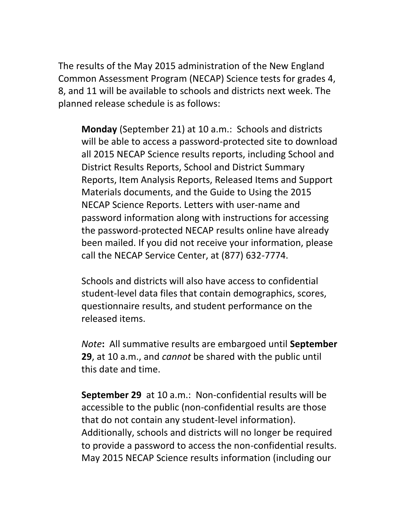The results of the May 2015 administration of the New England Common Assessment Program (NECAP) Science tests for grades 4, 8, and 11 will be available to schools and districts next week. The planned release schedule is as follows:

**Monday** (September 21) at 10 a.m.: Schools and districts will be able to access a password-protected site to download all 2015 NECAP Science results reports, including School and District Results Reports, School and District Summary Reports, Item Analysis Reports, Released Items and Support Materials documents, and the Guide to Using the 2015 NECAP Science Reports. Letters with user-name and password information along with instructions for accessing the password-protected NECAP results online have already been mailed. If you did not receive your information, please call the NECAP Service Center, at (877) 632-7774.

Schools and districts will also have access to confidential student-level data files that contain demographics, scores, questionnaire results, and student performance on the released items.

*Note***:** All summative results are embargoed until **September 29**, at 10 a.m., and *cannot* be shared with the public until this date and time.

**September 29** at 10 a.m.: Non-confidential results will be accessible to the public (non-confidential results are those that do not contain any student-level information). Additionally, schools and districts will no longer be required to provide a password to access the non-confidential results. May 2015 NECAP Science results information (including our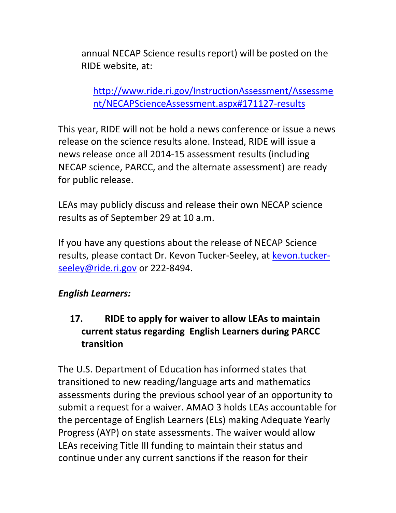annual NECAP Science results report) will be posted on the RIDE website, at:

[http://www.ride.ri.gov/InstructionAssessment/Assessme](http://www.ride.ri.gov/InstructionAssessment/Assessment/NECAPScienceAssessment.aspx#171127-results) [nt/NECAPScienceAssessment.aspx#171127-results](http://www.ride.ri.gov/InstructionAssessment/Assessment/NECAPScienceAssessment.aspx#171127-results)

This year, RIDE will not be hold a news conference or issue a news release on the science results alone. Instead, RIDE will issue a news release once all 2014-15 assessment results (including NECAP science, PARCC, and the alternate assessment) are ready for public release.

LEAs may publicly discuss and release their own NECAP science results as of September 29 at 10 a.m.

If you have any questions about the release of NECAP Science results, please contact Dr. Kevon Tucker-Seeley, at [kevon.tucker](mailto:kevon.tucker-seeley@ride.ri.gov)[seeley@ride.ri.gov](mailto:kevon.tucker-seeley@ride.ri.gov) or 222-8494.

## *English Learners:*

## <span id="page-17-0"></span>**17. RIDE to apply for waiver to allow LEAs to maintain current status regarding English Learners during PARCC transition**

The U.S. Department of Education has informed states that transitioned to new reading/language arts and mathematics assessments during the previous school year of an opportunity to submit a request for a waiver. AMAO 3 holds LEAs accountable for the percentage of English Learners (ELs) making Adequate Yearly Progress (AYP) on state assessments. The waiver would allow LEAs receiving Title III funding to maintain their status and continue under any current sanctions if the reason for their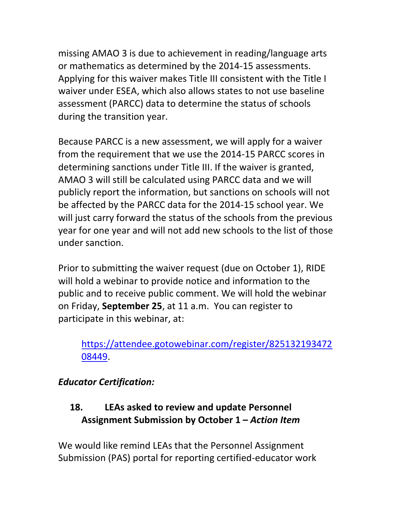missing AMAO 3 is due to achievement in reading/language arts or mathematics as determined by the 2014-15 assessments. Applying for this waiver makes Title III consistent with the Title I waiver under ESEA, which also allows states to not use baseline assessment (PARCC) data to determine the status of schools during the transition year.

Because PARCC is a new assessment, we will apply for a waiver from the requirement that we use the 2014-15 PARCC scores in determining sanctions under Title III. If the waiver is granted, AMAO 3 will still be calculated using PARCC data and we will publicly report the information, but sanctions on schools will not be affected by the PARCC data for the 2014-15 school year. We will just carry forward the status of the schools from the previous year for one year and will not add new schools to the list of those under sanction.

Prior to submitting the waiver request (due on October 1), RIDE will hold a webinar to provide notice and information to the public and to receive public comment. We will hold the webinar on Friday, **September 25**, at 11 a.m. You can register to participate in this webinar, at:

## [https://attendee.gotowebinar.com/register/825132193472](https://attendee.gotowebinar.com/register/82513219347208449) [08449.](https://attendee.gotowebinar.com/register/82513219347208449)

## *Educator Certification:*

## <span id="page-18-0"></span>**18. LEAs asked to review and update Personnel Assignment Submission by October 1 –** *Action Item*

We would like remind LEAs that the Personnel Assignment Submission (PAS) portal for reporting certified-educator work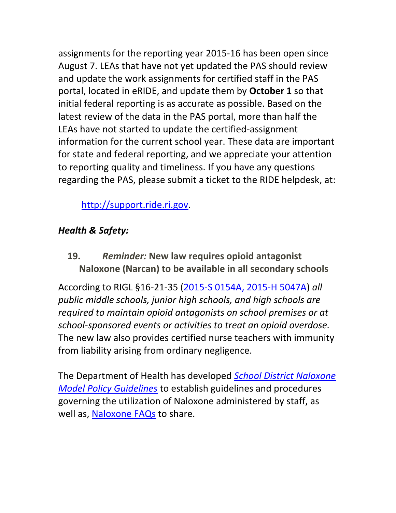assignments for the reporting year 2015‐16 has been open since August 7. LEAs that have not yet updated the PAS should review and update the work assignments for certified staff in the PAS portal, located in eRIDE, and update them by **October 1** so that initial federal reporting is as accurate as possible. Based on the latest review of the data in the PAS portal, more than half the LEAs have not started to update the certified-assignment information for the current school year. These data are important for state and federal reporting, and we appreciate your attention to reporting quality and timeliness. If you have any questions regarding the PAS, please submit a ticket to the RIDE helpdesk, at:

[http://support.ride.ri.gov.](http://support.ride.ri.gov/)

## *Health & Safety:*

<span id="page-19-0"></span>**19.** *Reminder:* **New law requires opioid antagonist Naloxone (Narcan) to be available in all secondary schools** 

According to RIGL §16-21-35 [\(2015-S 0154A,](http://webserver.rilin.state.ri.us/BillText/BillText15/SenateText15/S0154A.pdf) [2015-H 5047A\)](http://webserver.rilin.state.ri.us/BillText/BillText15/HouseText15/H5047A.pdf) *all public middle schools, junior high schools, and high schools are required to maintain opioid antagonists on school premises or at school-sponsored events or activities to treat an opioid overdose.* The new law also provides certified nurse teachers with immunity from liability arising from ordinary negligence.

The Department of Health has developed *[School District Naloxone](http://www.thriveri.org/documents/School%20District%20Naloxone%20Model%20Policy%20Guidelines.docx)  [Model Policy Guidelines](http://www.thriveri.org/documents/School%20District%20Naloxone%20Model%20Policy%20Guidelines.docx)* to establish guidelines and procedures governing the utilization of Naloxone administered by staff, as well as, [Naloxone FAQs](http://www.thriveri.org/documents/Naloxone%20FAQs.pdf) to share.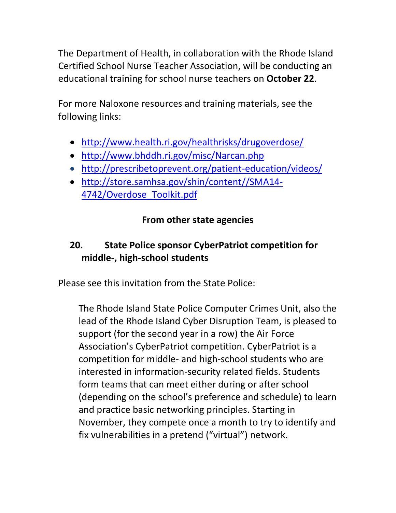The Department of Health, in collaboration with the Rhode Island Certified School Nurse Teacher Association, will be conducting an educational training for school nurse teachers on **October 22**.

For more Naloxone resources and training materials, see the following links:

- <http://www.health.ri.gov/healthrisks/drugoverdose/>
- <http://www.bhddh.ri.gov/misc/Narcan.php>
- <http://prescribetoprevent.org/patient-education/videos/>
- [http://store.samhsa.gov/shin/content//SMA14-](http://store.samhsa.gov/shin/content/SMA14-4742/Overdose_Toolkit.pdf) [4742/Overdose\\_Toolkit.pdf](http://store.samhsa.gov/shin/content/SMA14-4742/Overdose_Toolkit.pdf)

## **From other state agencies**

# <span id="page-20-0"></span>**20. State Police sponsor CyberPatriot competition for middle-, high-school students**

Please see this invitation from the State Police:

The Rhode Island State Police Computer Crimes Unit, also the lead of the Rhode Island Cyber Disruption Team, is pleased to support (for the second year in a row) the Air Force Association's CyberPatriot competition. CyberPatriot is a competition for middle- and high-school students who are interested in information-security related fields. Students form teams that can meet either during or after school (depending on the school's preference and schedule) to learn and practice basic networking principles. Starting in November, they compete once a month to try to identify and fix vulnerabilities in a pretend ("virtual") network.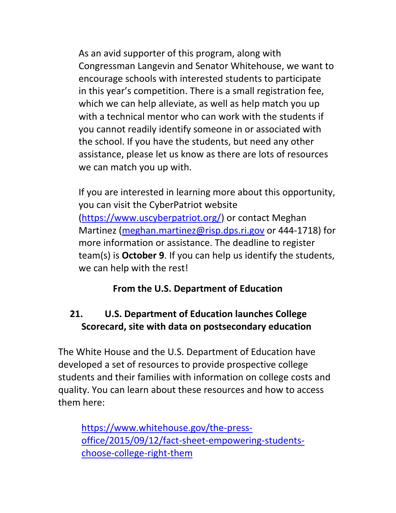As an avid supporter of this program, along with Congressman Langevin and Senator Whitehouse, we want to encourage schools with interested students to participate in this year's competition. There is a small registration fee, which we can help alleviate, as well as help match you up with a technical mentor who can work with the students if you cannot readily identify someone in or associated with the school. If you have the students, but need any other assistance, please let us know as there are lots of resources we can match you up with.

If you are interested in learning more about this opportunity, you can visit the CyberPatriot website [\(https://www.uscyberpatriot.org/\)](https://www.uscyberpatriot.org/) or contact Meghan Martinez [\(meghan.martinez@risp.dps.ri.gov](mailto:meghan.martinez@risp.dps.ri.gov) or 444-1718) for more information or assistance. The deadline to register team(s) is **October 9**. If you can help us identify the students, we can help with the rest!

## **From the U.S. Department of Education**

## <span id="page-21-0"></span>**21. U.S. Department of Education launches College Scorecard, site with data on postsecondary education**

The White House and the U.S. Department of Education have developed a set of resources to provide prospective college students and their families with information on college costs and quality. You can learn about these resources and how to access them here:

[https://www.whitehouse.gov/the-press](https://www.whitehouse.gov/the-press-office/2015/09/12/fact-sheet-empowering-students-choose-college-right-them)[office/2015/09/12/fact-sheet-empowering-students](https://www.whitehouse.gov/the-press-office/2015/09/12/fact-sheet-empowering-students-choose-college-right-them)[choose-college-right-them](https://www.whitehouse.gov/the-press-office/2015/09/12/fact-sheet-empowering-students-choose-college-right-them)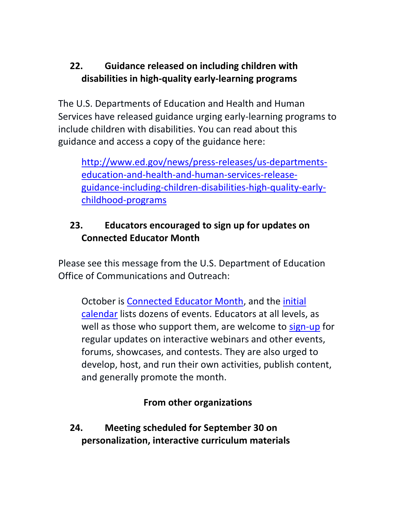## <span id="page-22-0"></span>**22. Guidance released on including children with disabilities in high-quality early-learning programs**

The U.S. Departments of Education and Health and Human Services have released guidance urging early-learning programs to include children with disabilities. You can read about this guidance and access a copy of the guidance here:

[http://www.ed.gov/news/press-releases/us-departments](http://www.ed.gov/news/press-releases/us-departments-education-and-health-and-human-services-release-guidance-including-children-disabilities-high-quality-early-childhood-programs)[education-and-health-and-human-services-release](http://www.ed.gov/news/press-releases/us-departments-education-and-health-and-human-services-release-guidance-including-children-disabilities-high-quality-early-childhood-programs)[guidance-including-children-disabilities-high-quality-early](http://www.ed.gov/news/press-releases/us-departments-education-and-health-and-human-services-release-guidance-including-children-disabilities-high-quality-early-childhood-programs)[childhood-programs](http://www.ed.gov/news/press-releases/us-departments-education-and-health-and-human-services-release-guidance-including-children-disabilities-high-quality-early-childhood-programs)

## <span id="page-22-1"></span>**23. Educators encouraged to sign up for updates on Connected Educator Month**

Please see this message from the U.S. Department of Education Office of Communications and Outreach:

October is [Connected Educator Month,](http://connectededucators.org/) and the [initial](http://connectededucators.org/calendar/)  [calendar](http://connectededucators.org/calendar/) lists dozens of events. Educators at all levels, as well as those who support them, are welcome to [sign-up](http://connectededucators.org/cem/cem-newsletter/) for regular updates on interactive webinars and other events, forums, showcases, and contests. They are also urged to develop, host, and run their own activities, publish content, and generally promote the month.

## **From other organizations**

<span id="page-22-2"></span>**24. Meeting scheduled for September 30 on personalization, interactive curriculum materials**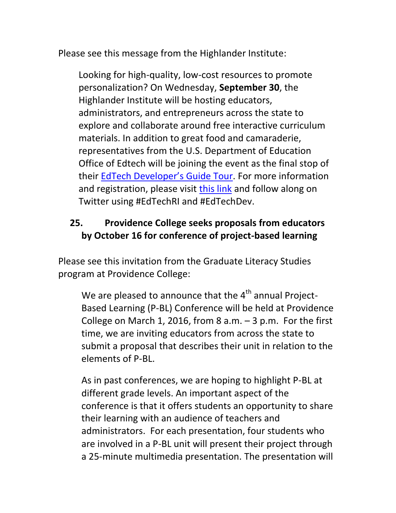Please see this message from the Highlander Institute:

Looking for high-quality, low-cost resources to promote personalization? On Wednesday, **September 30**, the Highlander Institute will be hosting educators, administrators, and entrepreneurs across the state to explore and collaborate around free interactive curriculum materials. In addition to great food and camaraderie, representatives from the U.S. Department of Education Office of Edtech will be joining the event as the final stop of their EdTech [Developer's Guide Tour](http://tech.ed.gov/developers/). For more information and registration, please visit [this link](https://www.eventbrite.com/e/edtechri-back-to-school-meetup-the-us-dept-of-ed-is-coming-to-providence-tickets-18103838067) and follow along on Twitter using #EdTechRI and #EdTechDev.

# <span id="page-23-0"></span>**25. Providence College seeks proposals from educators by October 16 for conference of project-based learning**

Please see this invitation from the Graduate Literacy Studies program at Providence College:

We are pleased to announce that the  $4<sup>th</sup>$  annual Project-Based Learning (P-BL) Conference will be held at Providence College on March 1, 2016, from 8  $a.m. -3 p.m.$  For the first time, we are inviting educators from across the state to submit a proposal that describes their unit in relation to the elements of P-BL.

As in past conferences, we are hoping to highlight P-BL at different grade levels. An important aspect of the conference is that it offers students an opportunity to share their learning with an audience of teachers and administrators. For each presentation, four students who are involved in a P-BL unit will present their project through a 25-minute multimedia presentation. The presentation will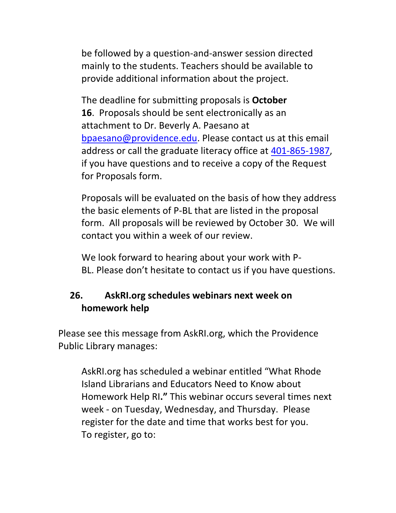be followed by a question-and-answer session directed mainly to the students. Teachers should be available to provide additional information about the project.

The deadline for submitting proposals is **October 16**. Proposals should be sent electronically as an attachment to Dr. Beverly A. Paesano at [bpaesano@providence.edu.](mailto:bpaesano@providence.edu) Please contact us at this email address or call the graduate literacy office at [401-865-1987,](tel:401-865-1987) if you have questions and to receive a copy of the Request for Proposals form.

Proposals will be evaluated on the basis of how they address the basic elements of P-BL that are listed in the proposal form. All proposals will be reviewed by October 30. We will contact you within a week of our review.

We look forward to hearing about your work with P-BL. Please don't hesitate to contact us if you have questions.

## <span id="page-24-0"></span>**26. AskRI.org schedules webinars next week on homework help**

Please see this message from AskRI.org, which the Providence Public Library manages:

AskRI.org has scheduled a webinar entitled "What Rhode Island Librarians and Educators Need to Know about Homework Help RI**."** This webinar occurs several times next week - on Tuesday, Wednesday, and Thursday. Please register for the date and time that works best for you. To register, go to: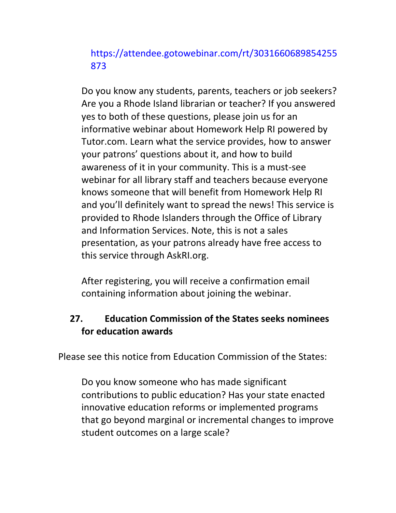## [https://attendee.gotowebinar.com/rt/3031660689854255](http://askri.us9.list-manage.com/track/click?u=8e587f85f3af3616bf1c324e2&id=5c6af1debf&e=83d960631e) [873](http://askri.us9.list-manage.com/track/click?u=8e587f85f3af3616bf1c324e2&id=5c6af1debf&e=83d960631e)

Do you know any students, parents, teachers or job seekers? Are you a Rhode Island librarian or teacher? If you answered yes to both of these questions, please join us for an informative webinar about Homework Help RI powered by Tutor.com. Learn what the service provides, how to answer your patrons' questions about it, and how to build awareness of it in your community. This is a must-see webinar for all library staff and teachers because everyone knows someone that will benefit from Homework Help RI and you'll definitely want to spread the news! This service is provided to Rhode Islanders through the Office of Library and Information Services. Note, this is not a sales presentation, as your patrons already have free access to this service through AskRI.org.

After registering, you will receive a confirmation email containing information about joining the webinar.

## <span id="page-25-0"></span>**27. Education Commission of the States seeks nominees for education awards**

Please see this notice from Education Commission of the States:

Do you know someone who has made significant contributions to public education? Has your state enacted innovative education reforms or implemented programs that go beyond marginal or incremental changes to improve student outcomes on a large scale?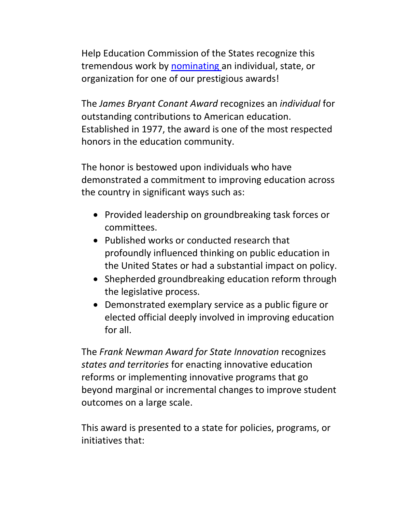Help Education Commission of the States recognize this tremendous work by [nominating a](http://cl.exct.net/?qs=36c0269fa9994526b7e7e77f5c6f47ac289b03ddd9f281a4d28b4f6927c35166)n individual, state, or organization for one of our prestigious awards!

The *James Bryant Conant Award* recognizes an *individual* for outstanding contributions to American education. Established in 1977, the award is one of the most respected honors in the education community.

The honor is bestowed upon individuals who have demonstrated a commitment to improving education across the country in significant ways such as:

- Provided leadership on groundbreaking task forces or committees.
- Published works or conducted research that profoundly influenced thinking on public education in the United States or had a substantial impact on policy.
- Shepherded groundbreaking education reform through the legislative process.
- Demonstrated exemplary service as a public figure or elected official deeply involved in improving education for all.

The *Frank Newman Award for State Innovation* recognizes *states and territories* for enacting innovative education reforms or implementing innovative programs that go beyond marginal or incremental changes to improve student outcomes on a large scale.

This award is presented to a state for policies, programs, or initiatives that: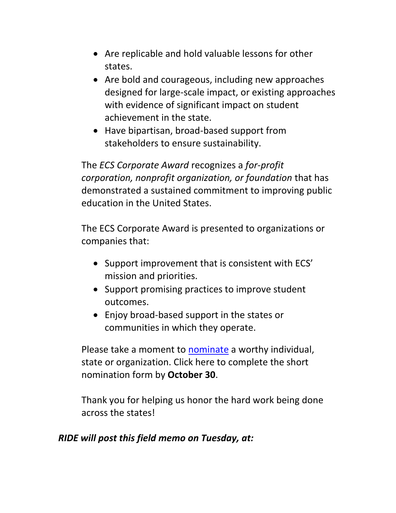- Are replicable and hold valuable lessons for other states.
- Are bold and courageous, including new approaches designed for large-scale impact, or existing approaches with evidence of significant impact on student achievement in the state.
- Have bipartisan, broad-based support from stakeholders to ensure sustainability.

The *ECS Corporate Award* recognizes a *for-profit corporation, nonprofit organization, or foundation* that has demonstrated a sustained commitment to improving public education in the United States.

The ECS Corporate Award is presented to organizations or companies that:

- Support improvement that is consistent with ECS' mission and priorities.
- Support promising practices to improve student outcomes.
- Enjoy broad-based support in the states or communities in which they operate.

Please take a moment to [nominate](http://cl.exct.net/?qs=36c0269fa999452646f7150dbf155b1f7b24ac1e518afaaaa2881a213b33dd49) a worthy individual, state or organization. Click here to complete the short nomination form by **October 30**.

Thank you for helping us honor the hard work being done across the states!

#### *RIDE will post this field memo on Tuesday, at:*